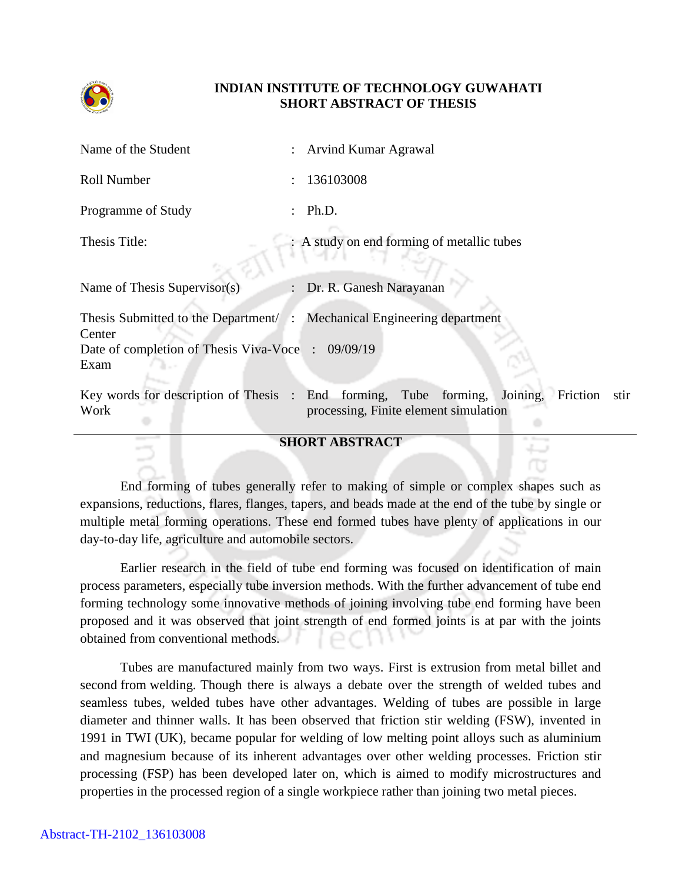

## **INDIAN INSTITUTE OF TECHNOLOGY GUWAHATI SHORT ABSTRACT OF THESIS**

| Name of the Student                                                              | : Arvind Kumar Agrawal                                             |
|----------------------------------------------------------------------------------|--------------------------------------------------------------------|
| Roll Number                                                                      | 136103008<br>$\ddot{\phantom{0}}$                                  |
| Programme of Study                                                               | Ph.D.<br>$\ddot{\phantom{0}}$                                      |
| Thesis Title:                                                                    | : A study on end forming of metallic tubes                         |
| Name of Thesis Supervisor(s)                                                     | Dr. R. Ganesh Narayanan                                            |
| Thesis Submitted to the Department/: Mechanical Engineering department<br>Center |                                                                    |
| Date of completion of Thesis Viva-Voce : 09/09/19<br>Exam                        |                                                                    |
| Key words for description of Thesis : End forming, Tube forming,<br>Work         | Joining, Friction<br>stir<br>processing, Finite element simulation |

## **SHORT ABSTRACT**

ب

End forming of tubes generally refer to making of simple or complex shapes such as expansions, reductions, flares, flanges, tapers, and beads made at the end of the tube by single or multiple metal forming operations. These end formed tubes have plenty of applications in our day-to-day life, agriculture and automobile sectors.

Earlier research in the field of tube end forming was focused on identification of main process parameters, especially tube inversion methods. With the further advancement of tube end forming technology some innovative methods of joining involving tube end forming have been proposed and it was observed that joint strength of end formed joints is at par with the joints obtained from conventional methods.

Tubes are manufactured mainly from two ways. First is extrusion from metal billet and second from welding. Though there is always a debate over the strength of welded tubes and seamless tubes, welded tubes have other advantages. Welding of tubes are possible in large diameter and thinner walls. It has been observed that friction stir welding (FSW), invented in 1991 in TWI (UK), became popular for welding of low melting point alloys such as aluminium and magnesium because of its inherent advantages over other welding processes. Friction stir processing (FSP) has been developed later on, which is aimed to modify microstructures and properties in the processed region of a single workpiece rather than joining two metal pieces.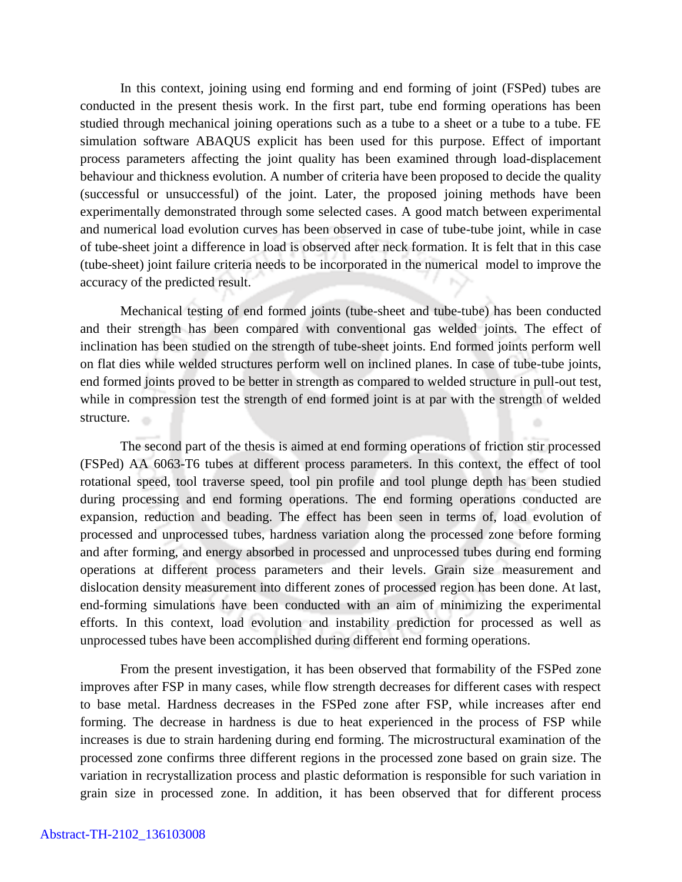In this context, joining using end forming and end forming of joint (FSPed) tubes are conducted in the present thesis work. In the first part, tube end forming operations has been studied through mechanical joining operations such as a tube to a sheet or a tube to a tube. FE simulation software ABAQUS explicit has been used for this purpose. Effect of important process parameters affecting the joint quality has been examined through load-displacement behaviour and thickness evolution. A number of criteria have been proposed to decide the quality (successful or unsuccessful) of the joint. Later, the proposed joining methods have been experimentally demonstrated through some selected cases. A good match between experimental and numerical load evolution curves has been observed in case of tube-tube joint, while in case of tube-sheet joint a difference in load is observed after neck formation. It is felt that in this case (tube-sheet) joint failure criteria needs to be incorporated in the numerical model to improve the accuracy of the predicted result.

Mechanical testing of end formed joints (tube-sheet and tube-tube) has been conducted and their strength has been compared with conventional gas welded joints. The effect of inclination has been studied on the strength of tube-sheet joints. End formed joints perform well on flat dies while welded structures perform well on inclined planes. In case of tube-tube joints, end formed joints proved to be better in strength as compared to welded structure in pull-out test, while in compression test the strength of end formed joint is at par with the strength of welded structure.

The second part of the thesis is aimed at end forming operations of friction stir processed (FSPed) AA 6063-T6 tubes at different process parameters. In this context, the effect of tool rotational speed, tool traverse speed, tool pin profile and tool plunge depth has been studied during processing and end forming operations. The end forming operations conducted are expansion, reduction and beading. The effect has been seen in terms of, load evolution of processed and unprocessed tubes, hardness variation along the processed zone before forming and after forming, and energy absorbed in processed and unprocessed tubes during end forming operations at different process parameters and their levels. Grain size measurement and dislocation density measurement into different zones of processed region has been done. At last, end-forming simulations have been conducted with an aim of minimizing the experimental efforts. In this context, load evolution and instability prediction for processed as well as unprocessed tubes have been accomplished during different end forming operations.

From the present investigation, it has been observed that formability of the FSPed zone improves after FSP in many cases, while flow strength decreases for different cases with respect to base metal. Hardness decreases in the FSPed zone after FSP, while increases after end forming. The decrease in hardness is due to heat experienced in the process of FSP while increases is due to strain hardening during end forming. The microstructural examination of the processed zone confirms three different regions in the processed zone based on grain size. The variation in recrystallization process and plastic deformation is responsible for such variation in grain size in processed zone. In addition, it has been observed that for different process